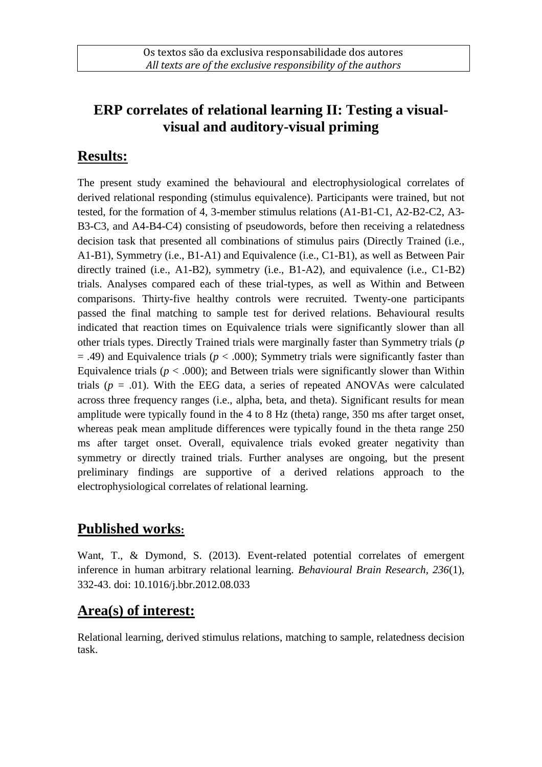# **ERP correlates of relational learning II: Testing a visualvisual and auditory-visual priming**

### **Results:**

The present study examined the behavioural and electrophysiological correlates of derived relational responding (stimulus equivalence). Participants were trained, but not tested, for the formation of 4, 3-member stimulus relations (A1-B1-C1, A2-B2-C2, A3- B3-C3, and A4-B4-C4) consisting of pseudowords, before then receiving a relatedness decision task that presented all combinations of stimulus pairs (Directly Trained (i.e., A1-B1), Symmetry (i.e., B1-A1) and Equivalence (i.e., C1-B1), as well as Between Pair directly trained (i.e., A1-B2), symmetry (i.e., B1-A2), and equivalence (i.e., C1-B2) trials. Analyses compared each of these trial-types, as well as Within and Between comparisons. Thirty-five healthy controls were recruited. Twenty-one participants passed the final matching to sample test for derived relations. Behavioural results indicated that reaction times on Equivalence trials were significantly slower than all other trials types. Directly Trained trials were marginally faster than Symmetry trials (*p*  $=$  .49) and Equivalence trials ( $p < .000$ ); Symmetry trials were significantly faster than Equivalence trials ( $p < .000$ ); and Between trials were significantly slower than Within trials  $(p = .01)$ . With the EEG data, a series of repeated ANOVAs were calculated across three frequency ranges (i.e., alpha, beta, and theta). Significant results for mean amplitude were typically found in the 4 to 8 Hz (theta) range, 350 ms after target onset, whereas peak mean amplitude differences were typically found in the theta range 250 ms after target onset. Overall, equivalence trials evoked greater negativity than symmetry or directly trained trials. Further analyses are ongoing, but the present preliminary findings are supportive of a derived relations approach to the electrophysiological correlates of relational learning.

### **Published works:**

Want, T., & Dymond, S. (2013). Event-related potential correlates of emergent inference in human arbitrary relational learning. *Behavioural Brain Research, 236*(1), 332-43. doi: 10.1016/j.bbr.2012.08.033

#### **Area(s) of interest:**

Relational learning, derived stimulus relations, matching to sample, relatedness decision task.